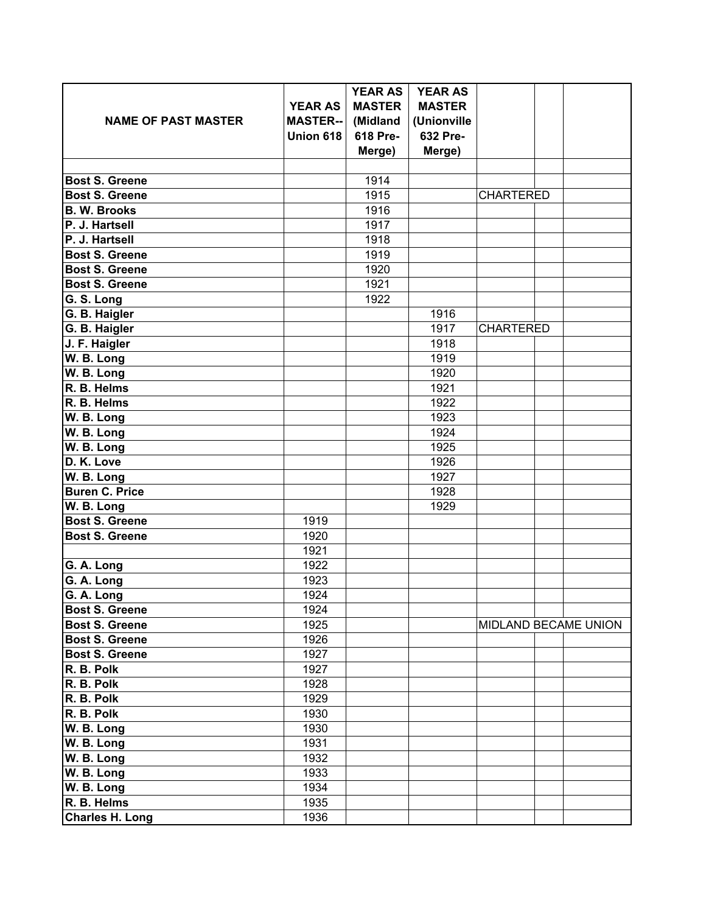|                            |                 | <b>YEAR AS</b> | <b>YEAR AS</b> |                  |                      |
|----------------------------|-----------------|----------------|----------------|------------------|----------------------|
|                            | <b>YEAR AS</b>  | <b>MASTER</b>  | <b>MASTER</b>  |                  |                      |
| <b>NAME OF PAST MASTER</b> | <b>MASTER--</b> | (Midland       | (Unionville    |                  |                      |
|                            | Union 618       | 618 Pre-       | 632 Pre-       |                  |                      |
|                            |                 | Merge)         | Merge)         |                  |                      |
|                            |                 |                |                |                  |                      |
| <b>Bost S. Greene</b>      |                 | 1914           |                |                  |                      |
| <b>Bost S. Greene</b>      |                 | 1915           |                | <b>CHARTERED</b> |                      |
| <b>B. W. Brooks</b>        |                 | 1916           |                |                  |                      |
| P. J. Hartsell             |                 | 1917           |                |                  |                      |
| P. J. Hartsell             |                 | 1918           |                |                  |                      |
| <b>Bost S. Greene</b>      |                 | 1919           |                |                  |                      |
| <b>Bost S. Greene</b>      |                 | 1920           |                |                  |                      |
| <b>Bost S. Greene</b>      |                 | 1921           |                |                  |                      |
| G. S. Long                 |                 | 1922           |                |                  |                      |
| G. B. Haigler              |                 |                | 1916           |                  |                      |
| G. B. Haigler              |                 |                | 1917           | <b>CHARTERED</b> |                      |
| J. F. Haigler              |                 |                | 1918           |                  |                      |
| W. B. Long                 |                 |                | 1919           |                  |                      |
| W. B. Long                 |                 |                | 1920           |                  |                      |
| R. B. Helms                |                 |                | 1921           |                  |                      |
| R. B. Helms                |                 |                | 1922           |                  |                      |
| W. B. Long                 |                 |                | 1923           |                  |                      |
| W. B. Long                 |                 |                | 1924           |                  |                      |
| W. B. Long                 |                 |                | 1925           |                  |                      |
| D. K. Love                 |                 |                | 1926           |                  |                      |
| W. B. Long                 |                 |                | 1927           |                  |                      |
| <b>Buren C. Price</b>      |                 |                | 1928           |                  |                      |
| W. B. Long                 |                 |                | 1929           |                  |                      |
| <b>Bost S. Greene</b>      | 1919            |                |                |                  |                      |
| <b>Bost S. Greene</b>      | 1920            |                |                |                  |                      |
|                            | 1921            |                |                |                  |                      |
| G. A. Long                 | 1922            |                |                |                  |                      |
| G. A. Long                 | 1923            |                |                |                  |                      |
| G. A. Long                 | 1924            |                |                |                  |                      |
| <b>Bost S. Greene</b>      | 1924            |                |                |                  |                      |
| <b>Bost S. Greene</b>      | 1925            |                |                |                  | MIDLAND BECAME UNION |
| <b>Bost S. Greene</b>      | 1926            |                |                |                  |                      |
| <b>Bost S. Greene</b>      | 1927            |                |                |                  |                      |
| R. B. Polk                 | 1927            |                |                |                  |                      |
| R. B. Polk                 | 1928            |                |                |                  |                      |
| R. B. Polk                 | 1929            |                |                |                  |                      |
| R. B. Polk                 | 1930            |                |                |                  |                      |
| W. B. Long                 | 1930            |                |                |                  |                      |
| W. B. Long                 | 1931            |                |                |                  |                      |
| W. B. Long                 | 1932            |                |                |                  |                      |
| W. B. Long                 | 1933            |                |                |                  |                      |
| W. B. Long                 | 1934            |                |                |                  |                      |
| R. B. Helms                | 1935            |                |                |                  |                      |
| <b>Charles H. Long</b>     | 1936            |                |                |                  |                      |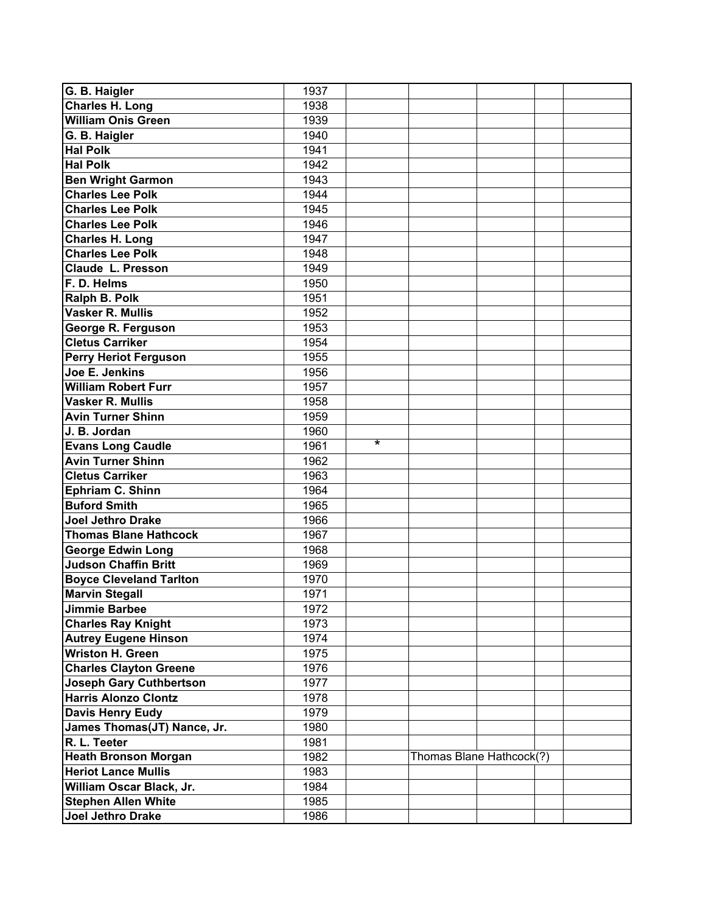| G. B. Haigler                  | 1937 |                   |                          |  |  |  |
|--------------------------------|------|-------------------|--------------------------|--|--|--|
| <b>Charles H. Long</b>         | 1938 |                   |                          |  |  |  |
| <b>William Onis Green</b>      | 1939 |                   |                          |  |  |  |
| G. B. Haigler                  | 1940 |                   |                          |  |  |  |
| <b>Hal Polk</b>                | 1941 |                   |                          |  |  |  |
| <b>Hal Polk</b>                | 1942 |                   |                          |  |  |  |
| <b>Ben Wright Garmon</b>       | 1943 |                   |                          |  |  |  |
| <b>Charles Lee Polk</b>        | 1944 |                   |                          |  |  |  |
| <b>Charles Lee Polk</b>        | 1945 |                   |                          |  |  |  |
| <b>Charles Lee Polk</b>        | 1946 |                   |                          |  |  |  |
| <b>Charles H. Long</b>         | 1947 |                   |                          |  |  |  |
| <b>Charles Lee Polk</b>        | 1948 |                   |                          |  |  |  |
| <b>Claude L. Presson</b>       | 1949 |                   |                          |  |  |  |
| F. D. Helms                    | 1950 |                   |                          |  |  |  |
| Ralph B. Polk                  | 1951 |                   |                          |  |  |  |
| <b>Vasker R. Mullis</b>        | 1952 |                   |                          |  |  |  |
| George R. Ferguson             | 1953 |                   |                          |  |  |  |
| <b>Cletus Carriker</b>         | 1954 |                   |                          |  |  |  |
| <b>Perry Heriot Ferguson</b>   | 1955 |                   |                          |  |  |  |
| Joe E. Jenkins                 | 1956 |                   |                          |  |  |  |
| <b>William Robert Furr</b>     | 1957 |                   |                          |  |  |  |
| <b>Vasker R. Mullis</b>        | 1958 |                   |                          |  |  |  |
| <b>Avin Turner Shinn</b>       | 1959 |                   |                          |  |  |  |
| J. B. Jordan                   | 1960 |                   |                          |  |  |  |
| <b>Evans Long Caudle</b>       | 1961 | $\overline{\ast}$ |                          |  |  |  |
| <b>Avin Turner Shinn</b>       | 1962 |                   |                          |  |  |  |
| <b>Cletus Carriker</b>         | 1963 |                   |                          |  |  |  |
| Ephriam C. Shinn               | 1964 |                   |                          |  |  |  |
| <b>Buford Smith</b>            | 1965 |                   |                          |  |  |  |
| <b>Joel Jethro Drake</b>       | 1966 |                   |                          |  |  |  |
| <b>Thomas Blane Hathcock</b>   | 1967 |                   |                          |  |  |  |
| <b>George Edwin Long</b>       | 1968 |                   |                          |  |  |  |
| <b>Judson Chaffin Britt</b>    | 1969 |                   |                          |  |  |  |
| <b>Boyce Cleveland Tarlton</b> | 1970 |                   |                          |  |  |  |
| <b>Marvin Stegall</b>          | 1971 |                   |                          |  |  |  |
| <b>Jimmie Barbee</b>           | 1972 |                   |                          |  |  |  |
| <b>Charles Ray Knight</b>      | 1973 |                   |                          |  |  |  |
| <b>Autrey Eugene Hinson</b>    | 1974 |                   |                          |  |  |  |
| <b>Wriston H. Green</b>        | 1975 |                   |                          |  |  |  |
| <b>Charles Clayton Greene</b>  | 1976 |                   |                          |  |  |  |
| <b>Joseph Gary Cuthbertson</b> | 1977 |                   |                          |  |  |  |
| <b>Harris Alonzo Clontz</b>    | 1978 |                   |                          |  |  |  |
| <b>Davis Henry Eudy</b>        | 1979 |                   |                          |  |  |  |
| James Thomas(JT) Nance, Jr.    | 1980 |                   |                          |  |  |  |
| R. L. Teeter                   | 1981 |                   |                          |  |  |  |
| <b>Heath Bronson Morgan</b>    | 1982 |                   | Thomas Blane Hathcock(?) |  |  |  |
| <b>Heriot Lance Mullis</b>     | 1983 |                   |                          |  |  |  |
| William Oscar Black, Jr.       | 1984 |                   |                          |  |  |  |
| <b>Stephen Allen White</b>     | 1985 |                   |                          |  |  |  |
| Joel Jethro Drake              | 1986 |                   |                          |  |  |  |